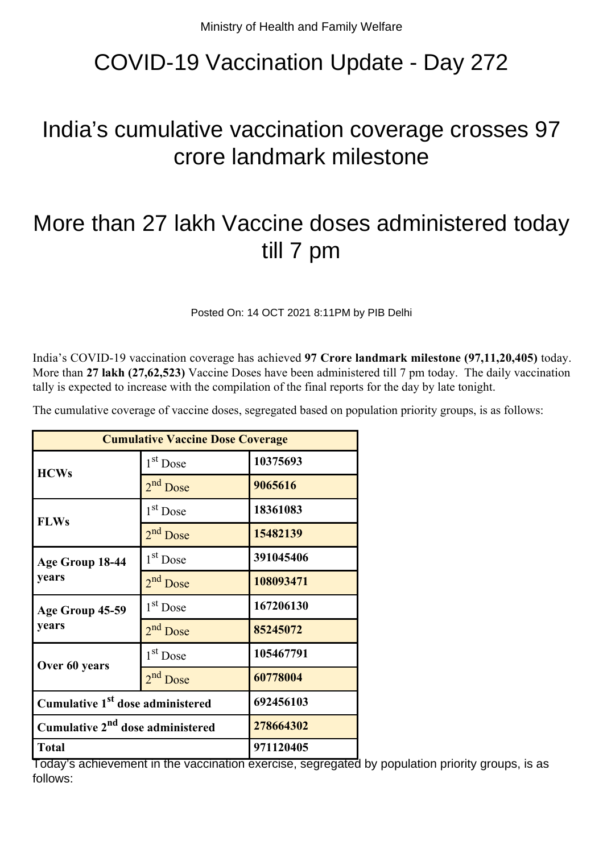## COVID-19 Vaccination Update - Day 272

## India's cumulative vaccination coverage crosses 97 crore landmark milestone

## More than 27 lakh Vaccine doses administered today till 7 pm

Posted On: 14 OCT 2021 8:11PM by PIB Delhi

India's COVID-19 vaccination coverage has achieved **97 Crore landmark milestone (97,11,20,405)** today. More than **27 lakh (27,62,523)** Vaccine Doses have been administered till 7 pm today. The daily vaccination tally is expected to increase with the compilation of the final reports for the day by late tonight.

The cumulative coverage of vaccine doses, segregated based on population priority groups, is as follows:

| <b>Cumulative Vaccine Dose Coverage</b>      |                      |           |
|----------------------------------------------|----------------------|-----------|
| <b>HCWs</b>                                  | $1st$ Dose           | 10375693  |
|                                              | 2 <sup>nd</sup> Dose | 9065616   |
| <b>FLWs</b>                                  | 1 <sup>st</sup> Dose | 18361083  |
|                                              | 2 <sup>nd</sup> Dose | 15482139  |
| Age Group 18-44<br>years                     | 1 <sup>st</sup> Dose | 391045406 |
|                                              | 2 <sup>nd</sup> Dose | 108093471 |
| Age Group 45-59<br>years                     | $1st$ Dose           | 167206130 |
|                                              | $2nd$ Dose           | 85245072  |
| Over 60 years                                | 1 <sup>st</sup> Dose | 105467791 |
|                                              | 2 <sup>nd</sup> Dose | 60778004  |
| Cumulative 1 <sup>st</sup> dose administered |                      | 692456103 |
| Cumulative 2 <sup>nd</sup> dose administered |                      | 278664302 |
| <b>Total</b>                                 |                      | 971120405 |

Today's achievement in the vaccination exercise, segregated by population priority groups, is as follows: